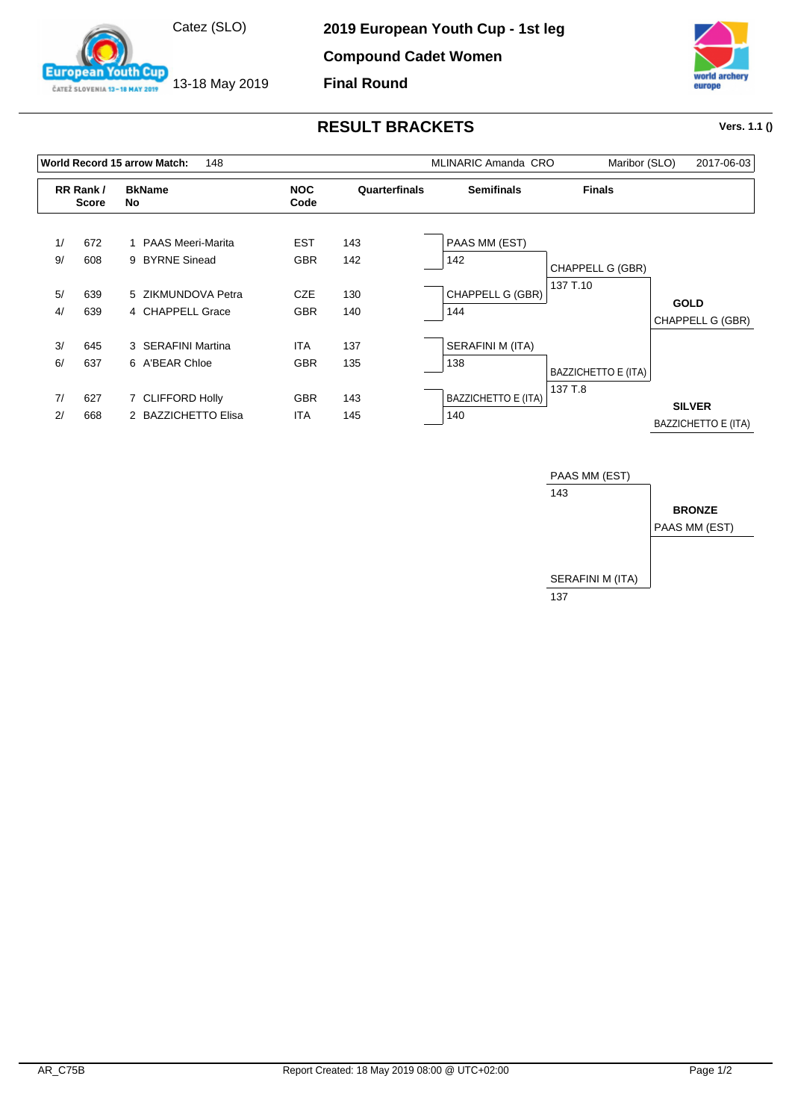

13-18 May 2019

outh Cup

**European** 

ČATEŽ SLOVENIA 13-18 MAY 2019

**Compound Cadet Women**

**Final Round**



## **RESULT BRACKETS Vers. 1.1 ()**

|          |                          | World Record 15 arrow Match:<br>148     |                          | <b>MLINARIC Amanda CRO</b> | Maribor (SLO)                     | 2017-06-03          |                                             |
|----------|--------------------------|-----------------------------------------|--------------------------|----------------------------|-----------------------------------|---------------------|---------------------------------------------|
|          | RR Rank/<br><b>Score</b> | <b>BkName</b><br>No                     | <b>NOC</b><br>Code       | Quarterfinals              | <b>Semifinals</b>                 | <b>Finals</b>       |                                             |
| 1/<br>9/ | 672<br>608               | 1 PAAS Meeri-Marita<br>9 BYRNE Sinead   | <b>EST</b><br><b>GBR</b> | 143<br>142                 | PAAS MM (EST)<br>142              | CHAPPELL G (GBR)    |                                             |
| 5/<br>4/ | 639<br>639               | 5 ZIKMUNDOVA Petra<br>4 CHAPPELL Grace  | <b>CZE</b><br><b>GBR</b> | 130<br>140                 | CHAPPELL G (GBR)<br>144           | 137 T.10            | <b>GOLD</b><br>CHAPPELL G (GBR)             |
| 3/<br>6/ | 645<br>637               | 3 SERAFINI Martina<br>6 A'BEAR Chloe    | <b>ITA</b><br><b>GBR</b> | 137<br>135                 | SERAFINI M (ITA)<br>138           | BAZZICHETTO E (ITA) |                                             |
| 7/<br>2/ | 627<br>668               | 7 CLIFFORD Holly<br>2 BAZZICHETTO Elisa | <b>GBR</b><br><b>ITA</b> | 143<br>145                 | <b>BAZZICHETTO E (ITA)</b><br>140 | 137 T.8             | <b>SILVER</b><br><b>BAZZICHETTO E (ITA)</b> |